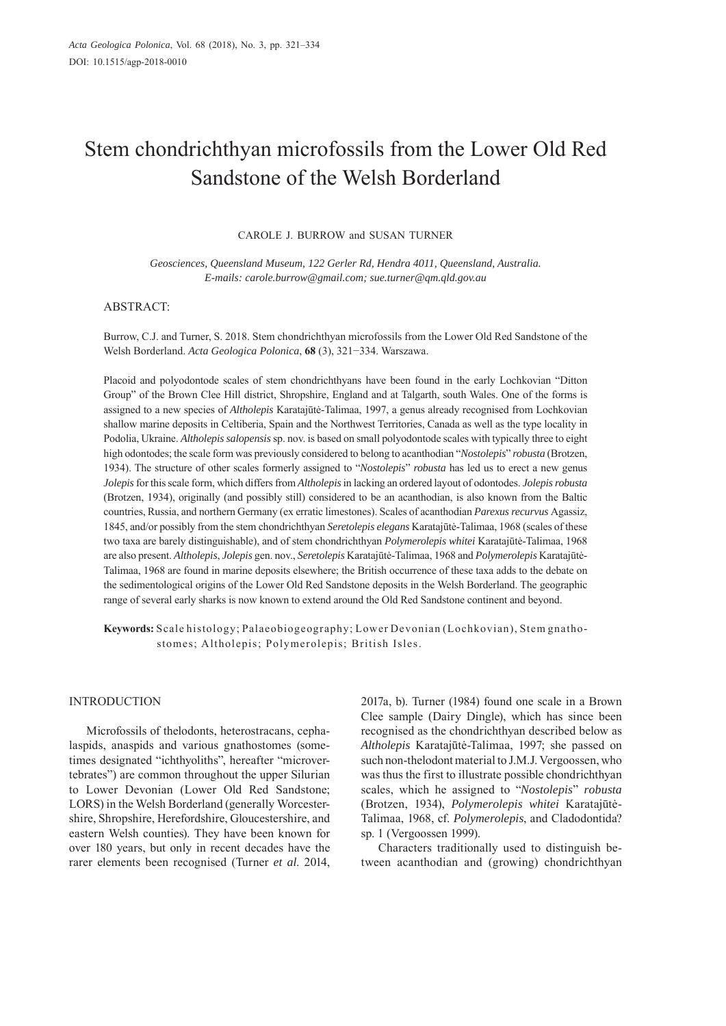# Stem chondrichthyan microfossils from the Lower Old Red Sandstone of the Welsh Borderland

CAROLE J. BURROW and SUSAN TURNER

*Geosciences, Queensland Museum, 122 Gerler Rd, Hendra 4011, Queensland, Australia. E-mails: carole.burrow@gmail.com; sue.turner@qm.qld.gov.au*

#### ABSTRACT:

Burrow, C.J. and Turner, S. 2018. Stem chondrichthyan microfossils from the Lower Old Red Sandstone of the Welsh Borderland. *Acta Geologica Polonica*, **68** (3), 321−334. Warszawa.

Placoid and polyodontode scales of stem chondrichthyans have been found in the early Lochkovian "Ditton Group" of the Brown Clee Hill district, Shropshire, England and at Talgarth, south Wales. One of the forms is assigned to a new species of *Altholepis* Karatajūtė-Talimaa, 1997, a genus already recognised from Lochkovian shallow marine deposits in Celtiberia, Spain and the Northwest Territories, Canada as well as the type locality in Podolia, Ukraine. *Altholepissalopensis* sp. nov. is based on small polyodontode scales with typically three to eight high odontodes; the scale form was previously considered to belong to acanthodian "*Nostolepis*" *robusta* (Brotzen, 1934). The structure of other scales formerly assigned to "*Nostolepis*" *robusta* has led us to erect a new genus *Jolepis* for this scale form, which differs from *Altholepis* in lacking an ordered layout of odontodes. *Jolepis robusta*  (Brotzen, 1934), originally (and possibly still) considered to be an acanthodian, is also known from the Baltic countries, Russia, and northern Germany (ex erratic limestones). Scales of acanthodian *Parexus recurvus* Agassiz, 1845, and/or possibly from the stem chondrichthyan *Seretolepis elegans* Karatajūtė-Talimaa, 1968 (scales of these two taxa are barely distinguishable), and of stem chondrichthyan *Polymerolepis whitei* Karatajūtė-Talimaa, 1968 are also present. *Altholepis*, *Jolepis* gen. nov., *Seretolepis* Karatajūtė-Talimaa, 1968 and *Polymerolepis* Karatajūtė-Talimaa, 1968 are found in marine deposits elsewhere; the British occurrence of these taxa adds to the debate on the sedimentological origins of the Lower Old Red Sandstone deposits in the Welsh Borderland. The geographic range of several early sharks is now known to extend around the Old Red Sandstone continent and beyond.

**Keywords:** Scale histology; Palaeobiogeography; Lower Devonian (Lochkovian), Stem gnatho stomes; Altholepis; Polymerolepis; British Isles.

# INTRODUCTION

Microfossils of thelodonts, heterostracans, cephalaspids, anaspids and various gnathostomes (sometimes designated "ichthyoliths", hereafter "microvertebrates") are common throughout the upper Silurian to Lower Devonian (Lower Old Red Sandstone; LORS) in the Welsh Borderland (generally Worcestershire, Shropshire, Herefordshire, Gloucestershire, and eastern Welsh counties). They have been known for over 180 years, but only in recent decades have the rarer elements been recognised (Turner *et al*. 2014, 2017a, b). Turner (1984) found one scale in a Brown Clee sample (Dairy Dingle), which has since been recognised as the chondrichthyan described below as *Altholepis* Karatajūtė-Talimaa, 1997; she passed on such non-thelodont material to J.M.J. Vergoossen, who was thus the first to illustrate possible chondrichthyan scales, which he assigned to "*Nostolepis*" *robusta*  (Brotzen, 1934), *Polymerolepis whitei* Karatajūtė-Talimaa, 1968, cf. *Polymerolepis*, and Cladodontida? sp. 1 (Vergoossen 1999).

Characters traditionally used to distinguish between acanthodian and (growing) chondrichthyan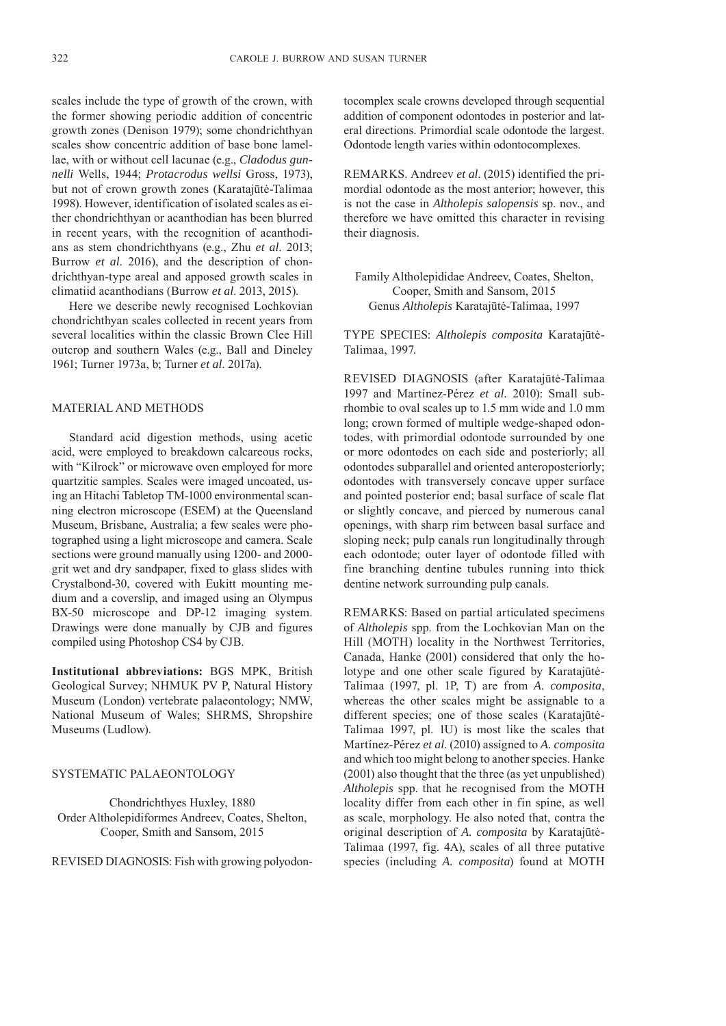scales include the type of growth of the crown, with the former showing periodic addition of concentric growth zones (Denison 1979); some chondrichthyan scales show concentric addition of base bone lamellae, with or without cell lacunae (e.g., *Cladodus gunnelli* Wells, 1944; *Protacrodus wellsi* Gross, 1973), but not of crown growth zones (Karatajūtė-Talimaa 1998). However, identification of isolated scales as either chondrichthyan or acanthodian has been blurred in recent years, with the recognition of acanthodians as stem chondrichthyans (e.g., Zhu *et al*. 2013; Burrow *et al*. 2016), and the description of chondrichthyan-type areal and apposed growth scales in climatiid acanthodians (Burrow *et al*. 2013, 2015).

Here we describe newly recognised Lochkovian chondrichthyan scales collected in recent years from several localities within the classic Brown Clee Hill outcrop and southern Wales (e.g., Ball and Dineley 1961; Turner 1973a, b; Turner *et al*. 2017a).

## MATERIAL AND METHODS

Standard acid digestion methods, using acetic acid, were employed to breakdown calcareous rocks, with "Kilrock" or microwave oven employed for more quartzitic samples. Scales were imaged uncoated, using an Hitachi Tabletop TM-1000 environmental scanning electron microscope (ESEM) at the Queensland Museum, Brisbane, Australia; a few scales were photographed using a light microscope and camera. Scale sections were ground manually using 1200- and 2000 grit wet and dry sandpaper, fixed to glass slides with Crystalbond-30, covered with Eukitt mounting medium and a coverslip, and imaged using an Olympus BX-50 microscope and DP-12 imaging system. Drawings were done manually by CJB and figures compiled using Photoshop CS4 by CJB.

**Institutional abbreviations:** BGS MPK, British Geological Survey; NHMUK PV P, Natural History Museum (London) vertebrate palaeontology; NMW, National Museum of Wales; SHRMS, Shropshire Museums (Ludlow).

#### SYSTEMATIC PALAEONTOLOGY

Chondrichthyes Huxley, 1880 Order Altholepidiformes Andreev, Coates, Shelton, Cooper, Smith and Sansom, 2015

REVISED DIAGNOSIS: Fish with growing polyodon-

tocomplex scale crowns developed through sequential addition of component odontodes in posterior and lateral directions. Primordial scale odontode the largest. Odontode length varies within odontocomplexes.

REMARKS. Andreev *et al*. (2015) identified the primordial odontode as the most anterior; however, this is not the case in *Altholepis salopensis* sp. nov., and therefore we have omitted this character in revising their diagnosis.

Family Altholepididae Andreev, Coates, Shelton, Cooper, Smith and Sansom, 2015 Genus *Altholepis* Karatajūtė-Talimaa, 1997

TYPE SPECIES: *Altholepis composita* Karatajūtė-Talimaa, 1997.

REVISED DIAGNOSIS (after Karatajūtė-Talimaa 1997 and Martínez-Pérez *et al.* 2010): Small subrhombic to oval scales up to 1.5 mm wide and 1.0 mm long; crown formed of multiple wedge-shaped odontodes, with primordial odontode surrounded by one or more odontodes on each side and posteriorly; all odontodes subparallel and oriented anteroposteriorly; odontodes with transversely concave upper surface and pointed posterior end; basal surface of scale flat or slightly concave, and pierced by numerous canal openings, with sharp rim between basal surface and sloping neck; pulp canals run longitudinally through each odontode; outer layer of odontode filled with fine branching dentine tubules running into thick dentine network surrounding pulp canals.

REMARKS: Based on partial articulated specimens of *Altholepis* spp. from the Lochkovian Man on the Hill (MOTH) locality in the Northwest Territories, Canada, Hanke (2001) considered that only the holotype and one other scale figured by Karatajūtė-Talimaa (1997, pl. 1P, T) are from *A. composita*, whereas the other scales might be assignable to a different species; one of those scales (Karatajūtė-Talimaa 1997, pl. 1U) is most like the scales that Martínez-Pérez *et al*. (2010) assigned to *A. composita* and which too might belong to another species. Hanke (2001) also thought that the three (as yet unpublished) *Altholepis* spp. that he recognised from the MOTH locality differ from each other in fin spine, as well as scale, morphology. He also noted that, contra the original description of *A. composita* by Karatajūtė-Talimaa (1997, fig. 4A), scales of all three putative species (including *A. composita*) found at MOTH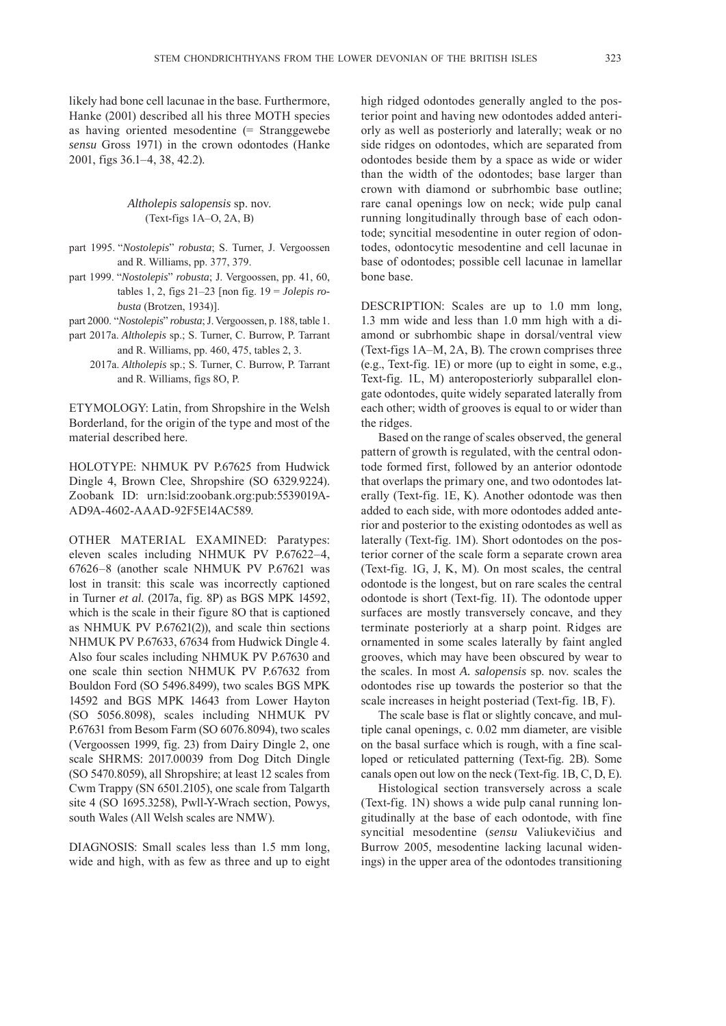likely had bone cell lacunae in the base. Furthermore, Hanke (2001) described all his three MOTH species as having oriented mesodentine (= Stranggewebe *sensu* Gross 1971) in the crown odontodes (Hanke 2001, figs 36.1–4, 38, 42.2).

## *Altholepis salopensis* sp. nov. (Text-figs 1A–O, 2A, B)

- part 1995. "*Nostolepis*" *robusta*; S. Turner, J. Vergoossen and R. Williams, pp. 377, 379.
- part 1999. "*Nostolepis*" *robusta*; J. Vergoossen, pp. 41, 60, tables 1, 2, figs 21–23 [non fig. 19 = *Jolepis robusta* (Brotzen, 1934)].
- part 2000. "*Nostolepis*" *robusta*; J. Vergoossen, p. 188, table 1.
- part 2017a. *Altholepis* sp.; S. Turner, C. Burrow, P. Tarrant and R. Williams, pp. 460, 475, tables 2, 3.
	- 2017a. *Altholepis* sp.; S. Turner, C. Burrow, P. Tarrant and R. Williams, figs 8O, P.

ETYMOLOGY: Latin, from Shropshire in the Welsh Borderland, for the origin of the type and most of the material described here.

HOLOTYPE: NHMUK PV P.67625 from Hudwick Dingle 4, Brown Clee, Shropshire (SO 6329.9224). Zoobank ID: urn:lsid:zoobank.org:pub:5539019A-AD9A-4602-AAAD-92F5E14AC589.

OTHER MATERIAL EXAMINED: Paratypes: eleven scales including NHMUK PV P.67622–4, 67626–8 (another scale NHMUK PV P.67621 was lost in transit: this scale was incorrectly captioned in Turner *et al*. (2017a, fig. 8P) as BGS MPK 14592, which is the scale in their figure 8O that is captioned as NHMUK PV P.67621(2)), and scale thin sections NHMUK PV P.67633, 67634 from Hudwick Dingle 4. Also four scales including NHMUK PV P.67630 and one scale thin section NHMUK PV P.67632 from Bouldon Ford (SO 5496.8499), two scales BGS MPK 14592 and BGS MPK 14643 from Lower Hayton (SO 5056.8098), scales including NHMUK PV P.67631 from Besom Farm (SO 6076.8094), two scales (Vergoossen 1999, fig. 23) from Dairy Dingle 2, one scale SHRMS: 2017.00039 from Dog Ditch Dingle (SO 5470.8059), all Shropshire; at least 12 scales from Cwm Trappy (SN 6501.2105), one scale from Talgarth site 4 (SO 1695.3258), Pwll-Y-Wrach section, Powys, south Wales (All Welsh scales are NMW).

DIAGNOSIS: Small scales less than 1.5 mm long, wide and high, with as few as three and up to eight high ridged odontodes generally angled to the posterior point and having new odontodes added anteriorly as well as posteriorly and laterally; weak or no side ridges on odontodes, which are separated from odontodes beside them by a space as wide or wider than the width of the odontodes; base larger than crown with diamond or subrhombic base outline; rare canal openings low on neck; wide pulp canal running longitudinally through base of each odontode; syncitial mesodentine in outer region of odontodes, odontocytic mesodentine and cell lacunae in base of odontodes; possible cell lacunae in lamellar bone base.

DESCRIPTION: Scales are up to 1.0 mm long, 1.3 mm wide and less than 1.0 mm high with a diamond or subrhombic shape in dorsal/ventral view (Text-figs 1A–M, 2A, B). The crown comprises three (e.g., Text-fig. 1E) or more (up to eight in some, e.g., Text-fig. 1L, M) anteroposteriorly subparallel elongate odontodes, quite widely separated laterally from each other; width of grooves is equal to or wider than the ridges.

Based on the range of scales observed, the general pattern of growth is regulated, with the central odontode formed first, followed by an anterior odontode that overlaps the primary one, and two odontodes laterally (Text-fig. 1E, K). Another odontode was then added to each side, with more odontodes added anterior and posterior to the existing odontodes as well as laterally (Text-fig. 1M). Short odontodes on the posterior corner of the scale form a separate crown area (Text-fig. 1G, J, K, M). On most scales, the central odontode is the longest, but on rare scales the central odontode is short (Text-fig. 1I). The odontode upper surfaces are mostly transversely concave, and they terminate posteriorly at a sharp point. Ridges are ornamented in some scales laterally by faint angled grooves, which may have been obscured by wear to the scales. In most *A. salopensis* sp. nov. scales the odontodes rise up towards the posterior so that the scale increases in height posteriad (Text-fig. 1B, F).

The scale base is flat or slightly concave, and multiple canal openings, c. 0.02 mm diameter, are visible on the basal surface which is rough, with a fine scalloped or reticulated patterning (Text-fig. 2B). Some canals open out low on the neck (Text-fig. 1B, C, D, E).

Histological section transversely across a scale (Text-fig. 1N) shows a wide pulp canal running longitudinally at the base of each odontode, with fine syncitial mesodentine (*sensu* Valiukevičius and Burrow 2005, mesodentine lacking lacunal widenings) in the upper area of the odontodes transitioning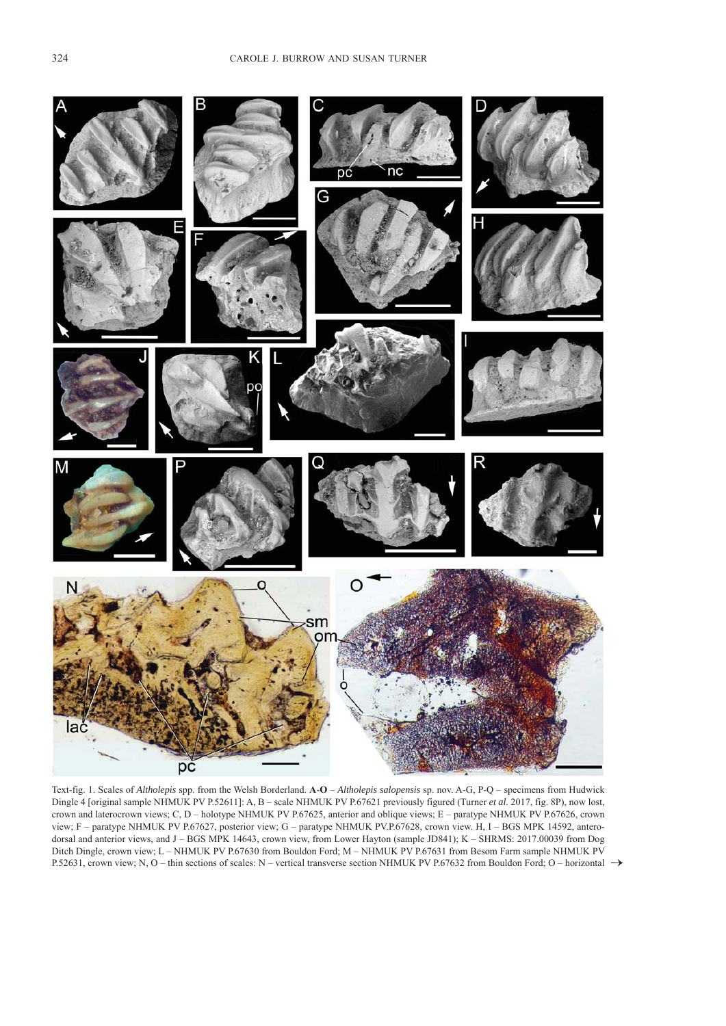

Text-fig. 1. Scales of *Altholepis* spp. from the Welsh Borderland. **A**-**O** – *Altholepis salopensis* sp. nov. A-G, P-Q – specimens from Hudwick Dingle 4 [original sample NHMUK PV P.52611]: A, B – scale NHMUK PV P.67621 previously figured (Turner *et al*. 2017, fig. 8P), now lost, crown and laterocrown views; C, D – holotype NHMUK PV P.67625, anterior and oblique views; E – paratype NHMUK PV P.67626, crown view; F – paratype NHMUK PV P.67627, posterior view; G – paratype NHMUK PV.P.67628, crown view. H, I – BGS MPK 14592, anterodorsal and anterior views, and J – BGS MPK 14643, crown view, from Lower Hayton (sample JD841); K – SHRMS: 2017.00039 from Dog Ditch Dingle, crown view; L – NHMUK PV P.67630 from Bouldon Ford; M – NHMUK PV P.67631 from Besom Farm sample NHMUK PV P.52631, crown view; N, O – thin sections of scales: N – vertical transverse section NHMUK PV P.67632 from Bouldon Ford; O – horizontal →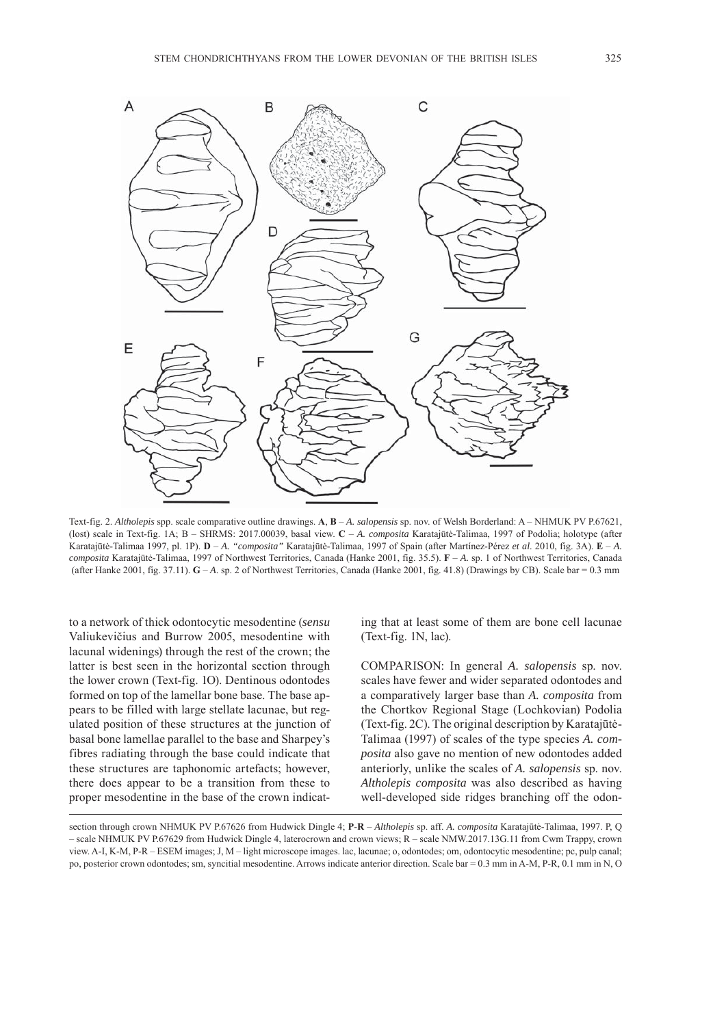

Text-fig. 2. *Altholepis* spp. scale comparative outline drawings. **A**, **B** – *A. salopensis* sp. nov. of Welsh Borderland: A – NHMUK PV P.67621, (lost) scale in Text-fig. 1A; B – SHRMS: 2017.00039, basal view. **C** – *A. composita* Karatajūtė-Talimaa, 1997 of Podolia; holotype (after Karatajūtė-Talimaa 1997, pl. 1P). **D** – *A. "composita"* Karatajūtė-Talimaa, 1997 of Spain (after Martínez-Pérez *et al*. 2010, fig. 3A). **E** – *A. composita* Karatajūtė-Talimaa, 1997 of Northwest Territories, Canada (Hanke 2001, fig. 35.5). **F** – *A.* sp. 1 of Northwest Territories, Canada (after Hanke 2001, fig. 37.11). **G** – *A*. sp. 2 of Northwest Territories, Canada (Hanke 2001, fig. 41.8) (Drawings by CB). Scale bar = 0.3 mm

to a network of thick odontocytic mesodentine (*sensu* Valiukevičius and Burrow 2005, mesodentine with lacunal widenings) through the rest of the crown; the latter is best seen in the horizontal section through the lower crown (Text-fig. 1O). Dentinous odontodes formed on top of the lamellar bone base. The base appears to be filled with large stellate lacunae, but regulated position of these structures at the junction of basal bone lamellae parallel to the base and Sharpey's fibres radiating through the base could indicate that these structures are taphonomic artefacts; however, there does appear to be a transition from these to proper mesodentine in the base of the crown indicating that at least some of them are bone cell lacunae (Text-fig. 1N, lac).

COMPARISON: In general *A. salopensis* sp. nov. scales have fewer and wider separated odontodes and a comparatively larger base than *A. composita* from the Chortkov Regional Stage (Lochkovian) Podolia (Text-fig. 2C). The original description by Karatajūtė-Talimaa (1997) of scales of the type species *A. composita* also gave no mention of new odontodes added anteriorly, unlike the scales of *A. salopensis* sp. nov. *Altholepis composita* was also described as having well-developed side ridges branching off the odon-

section through crown NHMUK PV P.67626 from Hudwick Dingle 4; **P**-**R** – *Altholepis* sp. aff. *A. composita* Karatajūtė-Talimaa, 1997. P, Q – scale NHMUK PV P.67629 from Hudwick Dingle 4, laterocrown and crown views; R – scale NMW.2017.13G.11 from Cwm Trappy, crown view. A-I, K-M, P-R – ESEM images; J, M – light microscope images. lac, lacunae; o, odontodes; om, odontocytic mesodentine; pc, pulp canal; po, posterior crown odontodes; sm, syncitial mesodentine. Arrows indicate anterior direction. Scale bar = 0.3 mm in A-M, P-R, 0.1 mm in N, O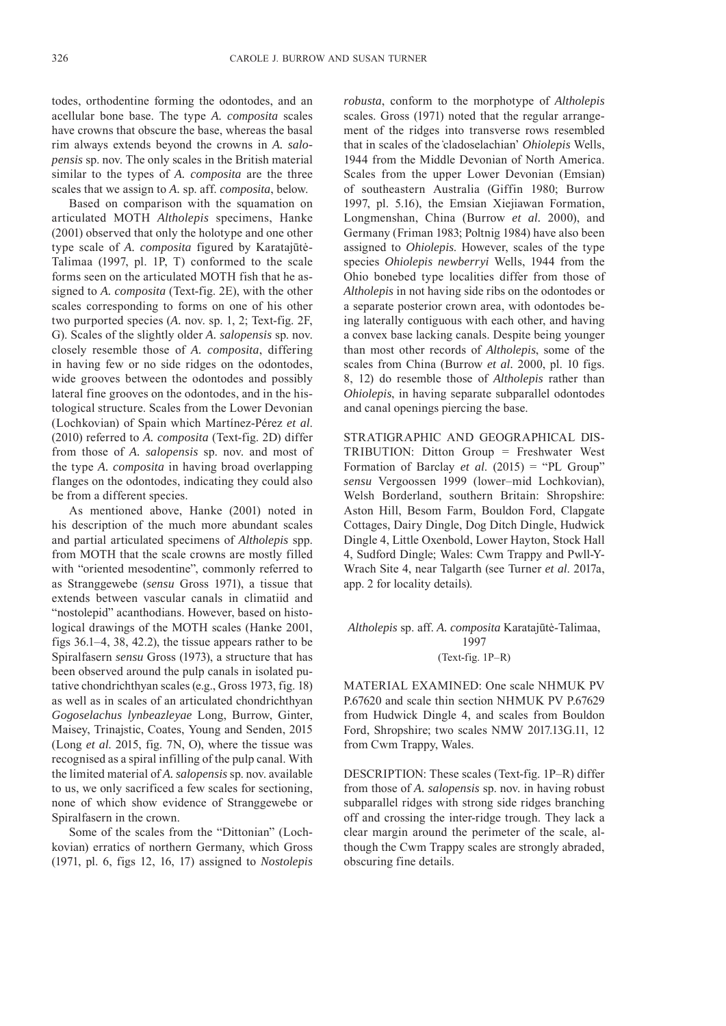todes, orthodentine forming the odontodes, and an acellular bone base. The type *A. composita* scales have crowns that obscure the base, whereas the basal rim always extends beyond the crowns in *A. salopensis* sp. nov. The only scales in the British material similar to the types of *A. composita* are the three scales that we assign to *A.* sp. aff. *composita*, below.

Based on comparison with the squamation on articulated MOTH *Altholepis* specimens, Hanke (2001) observed that only the holotype and one other type scale of *A. composita* figured by Karatajūtė-Talimaa (1997, pl. 1P, T) conformed to the scale forms seen on the articulated MOTH fish that he assigned to *A. composita* (Text-fig. 2E), with the other scales corresponding to forms on one of his other two purported species (*A.* nov. sp. 1, 2; Text-fig. 2F, G). Scales of the slightly older *A. salopensis* sp. nov. closely resemble those of *A. composita*, differing in having few or no side ridges on the odontodes, wide grooves between the odontodes and possibly lateral fine grooves on the odontodes, and in the histological structure. Scales from the Lower Devonian (Lochkovian) of Spain which Martínez-Pérez *et al*. (2010) referred to *A. composita* (Text-fig. 2D) differ from those of *A. salopensis* sp. nov. and most of the type *A. composita* in having broad overlapping flanges on the odontodes, indicating they could also be from a different species.

As mentioned above, Hanke (2001) noted in his description of the much more abundant scales and partial articulated specimens of *Altholepis* spp. from MOTH that the scale crowns are mostly filled with "oriented mesodentine", commonly referred to as Stranggewebe (*sensu* Gross 1971), a tissue that extends between vascular canals in climatiid and "nostolepid" acanthodians. However, based on histological drawings of the MOTH scales (Hanke 2001, figs 36.1–4, 38, 42.2), the tissue appears rather to be Spiralfasern *sensu* Gross (1973), a structure that has been observed around the pulp canals in isolated putative chondrichthyan scales (e.g., Gross 1973, fig. 18) as well as in scales of an articulated chondrichthyan *Gogoselachus lynbeazleyae* Long, Burrow, Ginter, Maisey, Trinajstic, Coates, Young and Senden, 2015 (Long *et al*. 2015, fig. 7N, O), where the tissue was recognised as a spiral infilling of the pulp canal. With the limited material of *A. salopensis* sp. nov. available to us, we only sacrificed a few scales for sectioning, none of which show evidence of Stranggewebe or Spiralfasern in the crown.

Some of the scales from the "Dittonian" (Lochkovian) erratics of northern Germany, which Gross (1971, pl. 6, figs 12, 16, 17) assigned to *Nostolepis*  *robusta*, conform to the morphotype of *Altholepis* scales. Gross (1971) noted that the regular arrangement of the ridges into transverse rows resembled that in scales of the ̒cladoselachian' *Ohiolepis* Wells, 1944 from the Middle Devonian of North America. Scales from the upper Lower Devonian (Emsian) of southeastern Australia (Giffin 1980; Burrow 1997, pl. 5.16), the Emsian Xiejiawan Formation, Longmenshan, China (Burrow *et al.* 2000), and Germany (Friman 1983; Poltnig 1984) have also been assigned to *Ohiolepis*. However, scales of the type species *Ohiolepis newberryi* Wells, 1944 from the Ohio bonebed type localities differ from those of *Altholepis* in not having side ribs on the odontodes or a separate posterior crown area, with odontodes being laterally contiguous with each other, and having a convex base lacking canals. Despite being younger than most other records of *Altholepis*, some of the scales from China (Burrow *et al.* 2000, pl. 10 figs. 8, 12) do resemble those of *Altholepis* rather than *Ohiolepis*, in having separate subparallel odontodes and canal openings piercing the base.

STRATIGRAPHIC AND GEOGRAPHICAL DIS-TRIBUTION: Ditton Group = Freshwater West Formation of Barclay *et al*. (2015) = "PL Group" *sensu* Vergoossen 1999 (lower–mid Lochkovian), Welsh Borderland, southern Britain: Shropshire: Aston Hill, Besom Farm, Bouldon Ford, Clapgate Cottages, Dairy Dingle, Dog Ditch Dingle, Hudwick Dingle 4, Little Oxenbold, Lower Hayton, Stock Hall 4, Sudford Dingle; Wales: Cwm Trappy and Pwll-Y-Wrach Site 4, near Talgarth (see Turner *et al*. 2017a, app. 2 for locality details).

# *Altholepis* sp. aff. *A. composita* Karatajūtė-Talimaa, 1997 (Text-fig. 1P–R)

MATERIAL EXAMINED: One scale NHMUK PV P.67620 and scale thin section NHMUK PV P.67629 from Hudwick Dingle 4, and scales from Bouldon Ford, Shropshire; two scales NMW 2017.13G.11, 12 from Cwm Trappy, Wales.

DESCRIPTION: These scales (Text-fig. 1P–R) differ from those of *A. salopensis* sp. nov. in having robust subparallel ridges with strong side ridges branching off and crossing the inter-ridge trough. They lack a clear margin around the perimeter of the scale, although the Cwm Trappy scales are strongly abraded, obscuring fine details.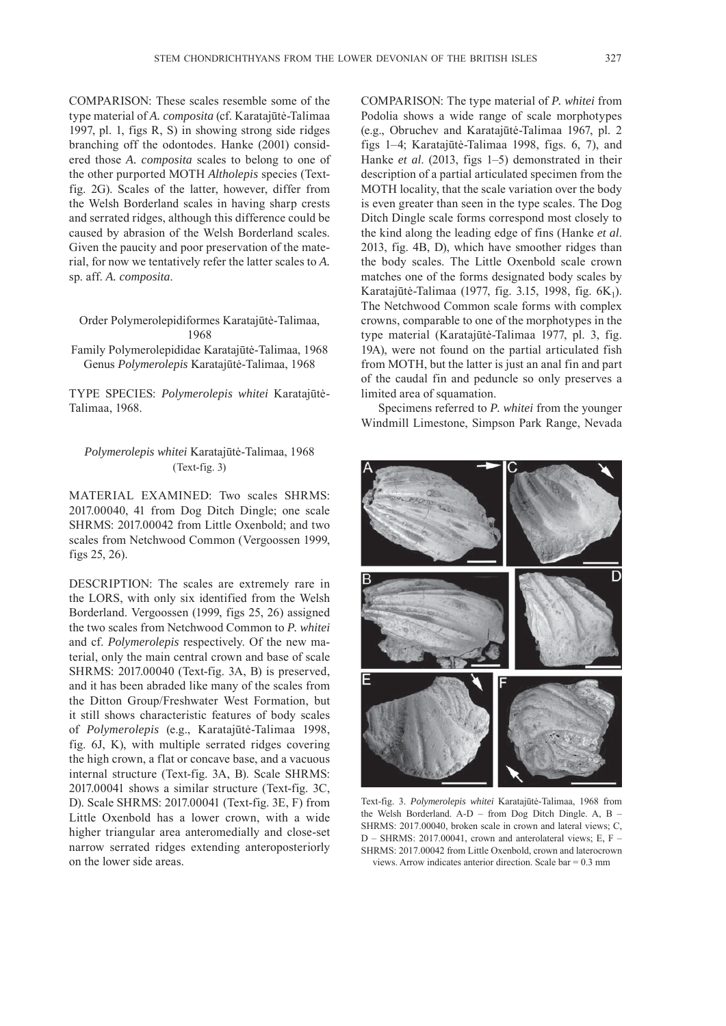COMPARISON: These scales resemble some of the type material of *A. composita* (cf. Karatajūtė-Talimaa 1997, pl. 1, figs R, S) in showing strong side ridges branching off the odontodes. Hanke (2001) considered those *A. composita* scales to belong to one of the other purported MOTH *Altholepis* species (Textfig. 2G). Scales of the latter, however, differ from the Welsh Borderland scales in having sharp crests and serrated ridges, although this difference could be caused by abrasion of the Welsh Borderland scales. Given the paucity and poor preservation of the material, for now we tentatively refer the latter scales to *A.*  sp. aff. *A. composita*.

Order Polymerolepidiformes Karatajūtė-Talimaa, 1968

Family Polymerolepididae Karatajūtė-Talimaa, 1968 Genus *Polymerolepis* Karatajūtė-Talimaa, 1968

TYPE SPECIES: *Polymerolepis whitei* Karatajūtė-Talimaa, 1968.

# *Polymerolepis whitei* Karatajūtė-Talimaa, 1968 (Text-fig. 3)

MATERIAL EXAMINED: Two scales SHRMS: 2017.00040, 41 from Dog Ditch Dingle; one scale SHRMS: 2017.00042 from Little Oxenbold; and two scales from Netchwood Common (Vergoossen 1999, figs 25, 26).

DESCRIPTION: The scales are extremely rare in the LORS, with only six identified from the Welsh Borderland. Vergoossen (1999, figs 25, 26) assigned the two scales from Netchwood Common to *P. whitei*  and cf. *Polymerolepis* respectively. Of the new material, only the main central crown and base of scale SHRMS: 2017.00040 (Text-fig. 3A, B) is preserved, and it has been abraded like many of the scales from the Ditton Group/Freshwater West Formation, but it still shows characteristic features of body scales of *Polymerolepis* (e.g., Karatajūtė-Talimaa 1998, fig. 6J, K), with multiple serrated ridges covering the high crown, a flat or concave base, and a vacuous internal structure (Text-fig. 3A, B). Scale SHRMS: 2017.00041 shows a similar structure (Text-fig. 3C, D). Scale SHRMS: 2017.00041 (Text-fig. 3E, F) from Little Oxenbold has a lower crown, with a wide higher triangular area anteromedially and close-set narrow serrated ridges extending anteroposteriorly on the lower side areas.

COMPARISON: The type material of *P. whitei* from Podolia shows a wide range of scale morphotypes (e.g., Obruchev and Karatajūtė-Talimaa 1967, pl. 2 figs 1–4; Karatajūtė-Talimaa 1998, figs. 6, 7), and Hanke *et al*. (2013, figs 1–5) demonstrated in their description of a partial articulated specimen from the MOTH locality, that the scale variation over the body is even greater than seen in the type scales. The Dog Ditch Dingle scale forms correspond most closely to the kind along the leading edge of fins (Hanke *et al*. 2013, fig. 4B, D), which have smoother ridges than the body scales. The Little Oxenbold scale crown matches one of the forms designated body scales by Karatajūtė-Talimaa (1977, fig. 3.15, 1998, fig.  $6K_1$ ). The Netchwood Common scale forms with complex crowns, comparable to one of the morphotypes in the type material (Karatajūtė-Talimaa 1977, pl. 3, fig. 19A), were not found on the partial articulated fish from MOTH, but the latter is just an anal fin and part of the caudal fin and peduncle so only preserves a limited area of squamation.

Specimens referred to *P. whitei* from the younger Windmill Limestone, Simpson Park Range, Nevada



Text-fig. 3. *Polymerolepis whitei* Karatajūtė-Talimaa, 1968 from the Welsh Borderland. A-D – from Dog Ditch Dingle. A, B – SHRMS: 2017.00040, broken scale in crown and lateral views; C, D – SHRMS: 2017.00041, crown and anterolateral views; E, F – SHRMS: 2017.00042 from Little Oxenbold, crown and laterocrown views. Arrow indicates anterior direction. Scale bar = 0.3 mm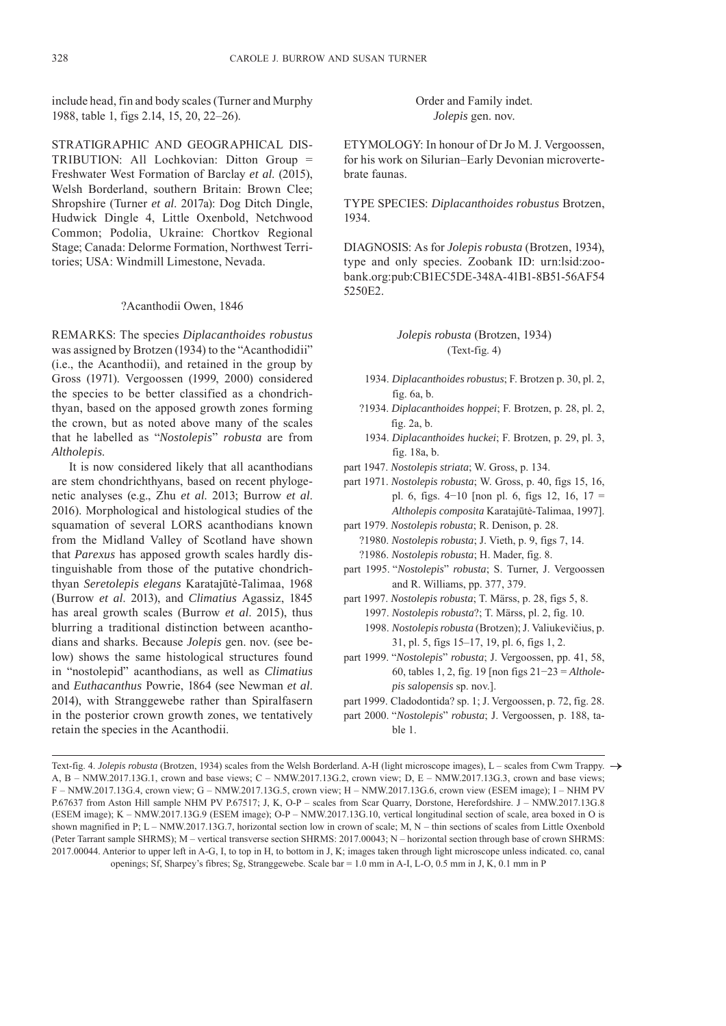include head, fin and body scales (Turner and Murphy 1988, table 1, figs 2.14, 15, 20, 22–26).

STRATIGRAPHIC AND GEOGRAPHICAL DIS-TRIBUTION: All Lochkovian: Ditton Group = Freshwater West Formation of Barclay *et al.* (2015), Welsh Borderland, southern Britain: Brown Clee; Shropshire (Turner *et al*. 2017a): Dog Ditch Dingle, Hudwick Dingle 4, Little Oxenbold, Netchwood Common; Podolia, Ukraine: Chortkov Regional Stage; Canada: Delorme Formation, Northwest Territories; USA: Windmill Limestone, Nevada.

#### ?Acanthodii Owen, 1846

REMARKS: The species *Diplacanthoides robustus*  was assigned by Brotzen (1934) to the "Acanthodidii" (i.e., the Acanthodii), and retained in the group by Gross (1971). Vergoossen (1999, 2000) considered the species to be better classified as a chondrichthyan, based on the apposed growth zones forming the crown, but as noted above many of the scales that he labelled as "*Nostolepis*" *robusta* are from *Altholepis*.

It is now considered likely that all acanthodians are stem chondrichthyans, based on recent phylogenetic analyses (e.g., Zhu *et al*. 2013; Burrow *et al*. 2016). Morphological and histological studies of the squamation of several LORS acanthodians known from the Midland Valley of Scotland have shown that *Parexus* has apposed growth scales hardly distinguishable from those of the putative chondrichthyan *Seretolepis elegans* Karatajūtė-Talimaa, 1968 (Burrow *et al*. 2013), and *Climatius* Agassiz, 1845 has areal growth scales (Burrow *et al*. 2015), thus blurring a traditional distinction between acanthodians and sharks. Because *Jolepis* gen. nov. (see below) shows the same histological structures found in "nostolepid" acanthodians, as well as *Climatius* and *Euthacanthus* Powrie, 1864 (see Newman *et al*. 2014), with Stranggewebe rather than Spiralfasern in the posterior crown growth zones, we tentatively retain the species in the Acanthodii.

Order and Family indet. *Jolepis* gen. nov.

ETYMOLOGY: In honour of Dr Jo M. J. Vergoossen, for his work on Silurian–Early Devonian microvertebrate faunas.

TYPE SPECIES: *Diplacanthoides robustus* Brotzen, 1934.

DIAGNOSIS: As for *Jolepis robusta* (Brotzen, 1934), type and only species. Zoobank ID: urn:lsid:zoobank.org:pub:CB1EC5DE-348A-41B1-8B51-56AF54 5250E2.

> *Jolepis robusta* (Brotzen, 1934) (Text-fig. 4)

- 1934. *Diplacanthoides robustus*; F. Brotzen p. 30, pl. 2, fig. 6a, b.
- ?1934. *Diplacanthoides hoppei*; F. Brotzen, p. 28, pl. 2, fig. 2a, b.
- 1934. *Diplacanthoides huckei*; F. Brotzen, p. 29, pl. 3, fig. 18a, b.
- part 1947. *Nostolepis striata*; W. Gross, p. 134.
- part 1971. *Nostolepis robusta*; W. Gross, p. 40, figs 15, 16, pl. 6, figs. 4−10 [non pl. 6, figs 12, 16, 17 = *Altholepis composita* Karatajūtė-Talimaa, 1997].
- part 1979. *Nostolepis robusta*; R. Denison, p. 28.
	- ?1980. *Nostolepis robusta*; J. Vieth, p. 9, figs 7, 14. ?1986. *Nostolepis robusta*; H. Mader, fig. 8.
- part 1995. "*Nostolepis*" *robusta*; S. Turner, J. Vergoossen and R. Williams, pp. 377, 379.
- part 1997. *Nostolepis robusta*; T. Märss, p. 28, figs 5, 8. 1997. *Nostolepis robusta*?; T. Märss, pl. 2, fig. 10.
	- 1998. *Nostolepis robusta* (Brotzen); J. Valiukevičius, p. 31, pl. 5, figs 15–17, 19, pl. 6, figs 1, 2.
- part 1999. "*Nostolepis*" *robusta*; J. Vergoossen, pp. 41, 58, 60, tables 1, 2, fig. 19 [non figs 21−23 = *Altholepis salopensis* sp. nov.].
- part 1999. Cladodontida? sp. 1; J. Vergoossen, p. 72, fig. 28. part 2000. "*Nostolepis*" *robusta*; J. Vergoossen, p. 188, table 1.

Text-fig. 4. *Jolepis robusta* (Brotzen, 1934) scales from the Welsh Borderland. A-H (light microscope images), L – scales from Cwm Trappy. →A, B – NMW.2017.13G.1, crown and base views; C – NMW.2017.13G.2, crown view; D, E – NMW.2017.13G.3, crown and base views; F – NMW.2017.13G.4, crown view; G – NMW.2017.13G.5, crown view; H – NMW.2017.13G.6, crown view (ESEM image); I – NHM PV P.67637 from Aston Hill sample NHM PV P.67517; J, K, O-P – scales from Scar Quarry, Dorstone, Herefordshire. J – NMW.2017.13G.8 (ESEM image); K – NMW.2017.13G.9 (ESEM image); O-P – NMW.2017.13G.10, vertical longitudinal section of scale, area boxed in O is shown magnified in P; L – NMW.2017.13G.7, horizontal section low in crown of scale; M, N – thin sections of scales from Little Oxenbold (Peter Tarrant sample SHRMS); M – vertical transverse section SHRMS: 2017.00043; N – horizontal section through base of crown SHRMS: 2017.00044. Anterior to upper left in A-G, I, to top in H, to bottom in J, K; images taken through light microscope unless indicated. co, canal openings; Sf, Sharpey's fibres; Sg, Stranggewebe. Scale bar = 1.0 mm in A-I, L-O, 0.5 mm in J, K, 0.1 mm in P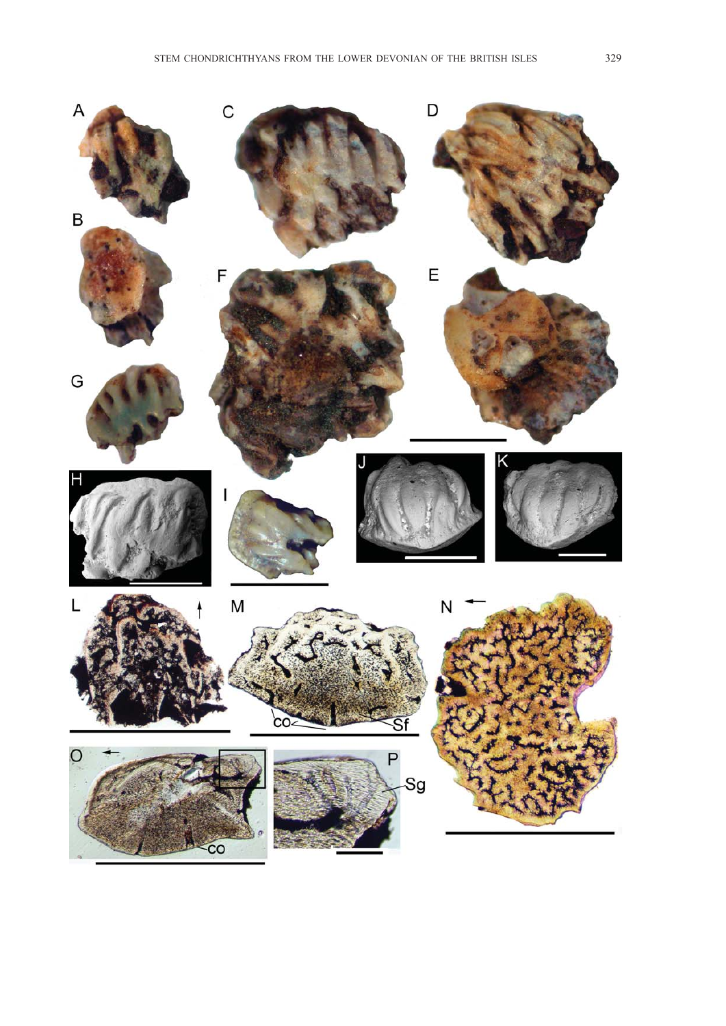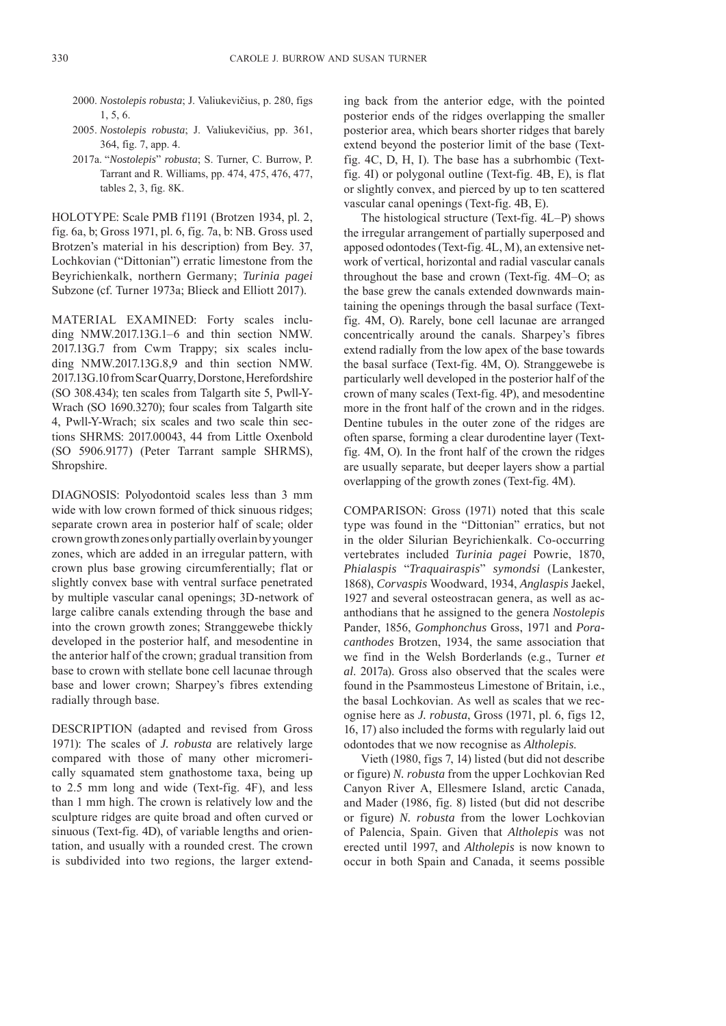- 2000. *Nostolepis robusta*; J. Valiukevičius, p. 280, figs 1, 5, 6.
- 2005. *Nostolepis robusta*; J. Valiukevičius, pp. 361, 364, fig. 7, app. 4.
- 2017a. "*Nostolepis*" *robusta*; S. Turner, C. Burrow, P. Tarrant and R. Williams, pp. 474, 475, 476, 477, tables 2, 3, fig. 8K.

HOLOTYPE: Scale PMB f1191 (Brotzen 1934, pl. 2, fig. 6a, b; Gross 1971, pl. 6, fig. 7a, b: NB. Gross used Brotzen's material in his description) from Bey. 37, Lochkovian ("Dittonian") erratic limestone from the Beyrichienkalk, northern Germany; *Turinia pagei* Subzone (cf. Turner 1973a; Blieck and Elliott 2017).

MATERIAL EXAMINED: Forty scales including NMW.2017.13G.1–6 and thin section NMW. 2017.13G.7 from Cwm Trappy; six scales including NMW.2017.13G.8,9 and thin section NMW. 2017.13G.10 from Scar Quarry, Dorstone, Herefordshire (SO 308.434); ten scales from Talgarth site 5, Pwll-Y-Wrach (SO 1690.3270); four scales from Talgarth site 4, Pwll-Y-Wrach; six scales and two scale thin sections SHRMS: 2017.00043, 44 from Little Oxenbold (SO 5906.9177) (Peter Tarrant sample SHRMS), Shropshire.

DIAGNOSIS: Polyodontoid scales less than 3 mm wide with low crown formed of thick sinuous ridges; separate crown area in posterior half of scale; older crown growth zones only partially overlain by younger zones, which are added in an irregular pattern, with crown plus base growing circumferentially; flat or slightly convex base with ventral surface penetrated by multiple vascular canal openings; 3D-network of large calibre canals extending through the base and into the crown growth zones; Stranggewebe thickly developed in the posterior half, and mesodentine in the anterior half of the crown; gradual transition from base to crown with stellate bone cell lacunae through base and lower crown; Sharpey's fibres extending radially through base.

DESCRIPTION (adapted and revised from Gross 1971): The scales of *J. robusta* are relatively large compared with those of many other micromerically squamated stem gnathostome taxa, being up to 2.5 mm long and wide (Text-fig. 4F), and less than 1 mm high. The crown is relatively low and the sculpture ridges are quite broad and often curved or sinuous (Text-fig. 4D), of variable lengths and orientation, and usually with a rounded crest. The crown is subdivided into two regions, the larger extending back from the anterior edge, with the pointed posterior ends of the ridges overlapping the smaller posterior area, which bears shorter ridges that barely extend beyond the posterior limit of the base (Textfig. 4C, D, H, I). The base has a subrhombic (Textfig. 4I) or polygonal outline (Text-fig. 4B, E), is flat or slightly convex, and pierced by up to ten scattered vascular canal openings (Text-fig. 4B, E).

The histological structure (Text-fig. 4L–P) shows the irregular arrangement of partially superposed and apposed odontodes (Text-fig. 4L, M), an extensive network of vertical, horizontal and radial vascular canals throughout the base and crown (Text-fig. 4M–O; as the base grew the canals extended downwards maintaining the openings through the basal surface (Textfig. 4M, O). Rarely, bone cell lacunae are arranged concentrically around the canals. Sharpey's fibres extend radially from the low apex of the base towards the basal surface (Text-fig. 4M, O). Stranggewebe is particularly well developed in the posterior half of the crown of many scales (Text-fig. 4P), and mesodentine more in the front half of the crown and in the ridges. Dentine tubules in the outer zone of the ridges are often sparse, forming a clear durodentine layer (Textfig. 4M, O). In the front half of the crown the ridges are usually separate, but deeper layers show a partial overlapping of the growth zones (Text-fig. 4M).

COMPARISON: Gross (1971) noted that this scale type was found in the "Dittonian" erratics, but not in the older Silurian Beyrichienkalk. Co-occurring vertebrates included *Turinia pagei* Powrie, 1870, *Phialaspis* "*Traquairaspis*" *symondsi* (Lankester, 1868), *Corvaspis* Woodward, 1934, *Anglaspis* Jaekel, 1927 and several osteostracan genera, as well as acanthodians that he assigned to the genera *Nostolepis*  Pander, 1856, *Gomphonchus* Gross, 1971 and *Poracanthodes* Brotzen, 1934, the same association that we find in the Welsh Borderlands (e.g., Turner *et al*. 2017a). Gross also observed that the scales were found in the Psammosteus Limestone of Britain, i.e., the basal Lochkovian. As well as scales that we recognise here as *J. robusta*, Gross (1971, pl. 6, figs 12, 16, 17) also included the forms with regularly laid out odontodes that we now recognise as *Altholepis*.

Vieth (1980, figs 7, 14) listed (but did not describe or figure) *N. robusta* from the upper Lochkovian Red Canyon River A, Ellesmere Island, arctic Canada, and Mader (1986, fig. 8) listed (but did not describe or figure) *N. robusta* from the lower Lochkovian of Palencia, Spain. Given that *Altholepis* was not erected until 1997, and *Altholepis* is now known to occur in both Spain and Canada, it seems possible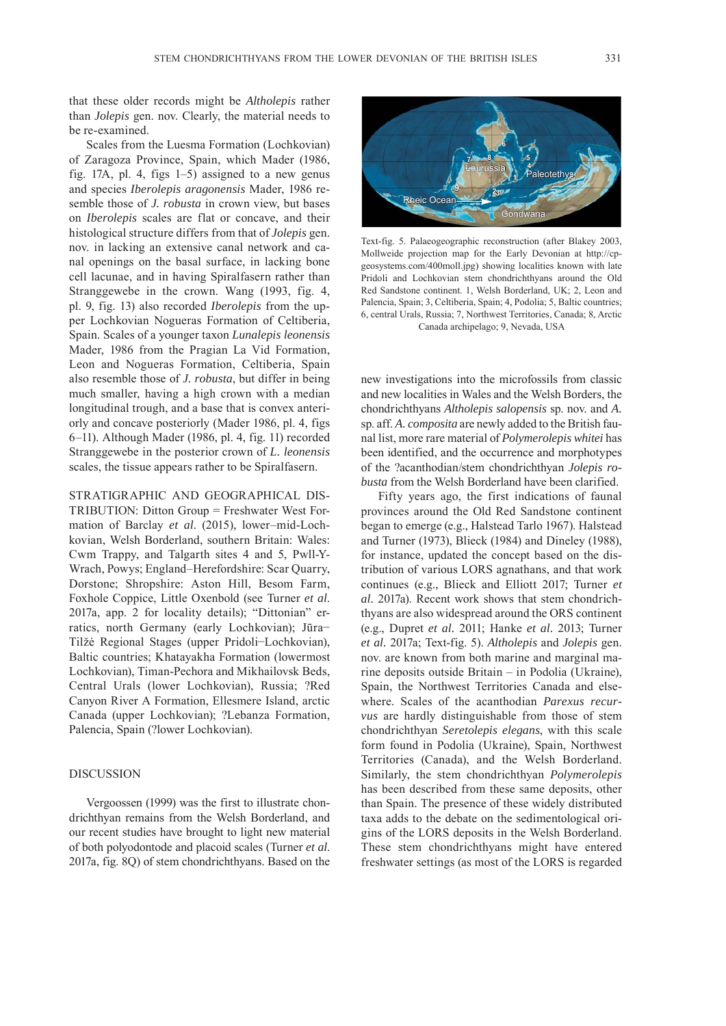that these older records might be *Altholepis* rather than *Jolepis* gen. nov. Clearly, the material needs to be re-examined.

Scales from the Luesma Formation (Lochkovian) of Zaragoza Province, Spain, which Mader (1986, fig. 17A, pl. 4, figs 1–5) assigned to a new genus and species *Iberolepis aragonensis* Mader, 1986 resemble those of *J. robusta* in crown view, but bases on *Iberolepis* scales are flat or concave, and their histological structure differs from that of *Jolepis* gen. nov. in lacking an extensive canal network and canal openings on the basal surface, in lacking bone cell lacunae, and in having Spiralfasern rather than Stranggewebe in the crown. Wang (1993, fig. 4, pl. 9, fig. 13) also recorded *Iberolepis* from the upper Lochkovian Nogueras Formation of Celtiberia, Spain. Scales of a younger taxon *Lunalepis leonensis*  Mader, 1986 from the Pragian La Vid Formation, Leon and Nogueras Formation, Celtiberia, Spain also resemble those of *J. robusta*, but differ in being much smaller, having a high crown with a median longitudinal trough, and a base that is convex anteriorly and concave posteriorly (Mader 1986, pl. 4, figs 6–11). Although Mader (1986, pl. 4, fig. 11) recorded Stranggewebe in the posterior crown of *L. leonensis* scales, the tissue appears rather to be Spiralfasern.

STRATIGRAPHIC AND GEOGRAPHICAL DIS- $TRIBUTION:$  Ditton Group = Freshwater West Formation of Barclay *et al*. (2015), lower–mid-Lochkovian, Welsh Borderland, southern Britain: Wales: Cwm Trappy, and Talgarth sites 4 and 5, Pwll-Y-Wrach, Powys; England–Herefordshire: Scar Quarry, Dorstone; Shropshire: Aston Hill, Besom Farm, Foxhole Coppice, Little Oxenbold (see Turner *et al*. 2017a, app. 2 for locality details); "Dittonian" erratics, north Germany (early Lochkovian); Jūra− Tilžė Regional Stages (upper Pridoli−Lochkovian), Baltic countries; Khatayakha Formation (lowermost Lochkovian), Timan-Pechora and Mikhailovsk Beds, Central Urals (lower Lochkovian), Russia; ?Red Canyon River A Formation, Ellesmere Island, arctic Canada (upper Lochkovian); ?Lebanza Formation, Palencia, Spain (?lower Lochkovian).

#### DISCUSSION

Vergoossen (1999) was the first to illustrate chondrichthyan remains from the Welsh Borderland, and our recent studies have brought to light new material of both polyodontode and placoid scales (Turner *et al*. 2017a, fig. 8Q) of stem chondrichthyans. Based on the



Text-fig. 5. Palaeogeographic reconstruction (after Blakey 2003, Mollweide projection map for the Early Devonian at http://cpgeosystems.com/400moll.jpg) showing localities known with late Pridoli and Lochkovian stem chondrichthyans around the Old Red Sandstone continent. 1, Welsh Borderland, UK; 2, Leon and Palencia, Spain; 3, Celtiberia, Spain; 4, Podolia; 5, Baltic countries; 6, central Urals, Russia; 7, Northwest Territories, Canada; 8, Arctic Canada archipelago; 9, Nevada, USA

new investigations into the microfossils from classic and new localities in Wales and the Welsh Borders, the chondrichthyans *Altholepis salopensis* sp. nov. and *A.*  sp. aff. *A. composita* are newly added to the British faunal list, more rare material of *Polymerolepis whitei* has been identified, and the occurrence and morphotypes of the ?acanthodian/stem chondrichthyan *Jolepis robusta* from the Welsh Borderland have been clarified.

Fifty years ago, the first indications of faunal provinces around the Old Red Sandstone continent began to emerge (e.g., Halstead Tarlo 1967). Halstead and Turner (1973), Blieck (1984) and Dineley (1988), for instance, updated the concept based on the distribution of various LORS agnathans, and that work continues (e.g., Blieck and Elliott 2017; Turner *et al.* 2017a). Recent work shows that stem chondrichthyans are also widespread around the ORS continent (e.g., Dupret *et al.* 2011; Hanke *et al.* 2013; Turner *et al.* 2017a; Text-fig. 5). *Altholepis* and *Jolepis* gen. nov. are known from both marine and marginal marine deposits outside Britain – in Podolia (Ukraine), Spain, the Northwest Territories Canada and elsewhere. Scales of the acanthodian *Parexus recurvus* are hardly distinguishable from those of stem chondrichthyan *Seretolepis elegans*, with this scale form found in Podolia (Ukraine), Spain, Northwest Territories (Canada), and the Welsh Borderland. Similarly, the stem chondrichthyan *Polymerolepis*  has been described from these same deposits, other than Spain. The presence of these widely distributed taxa adds to the debate on the sedimentological origins of the LORS deposits in the Welsh Borderland. These stem chondrichthyans might have entered freshwater settings (as most of the LORS is regarded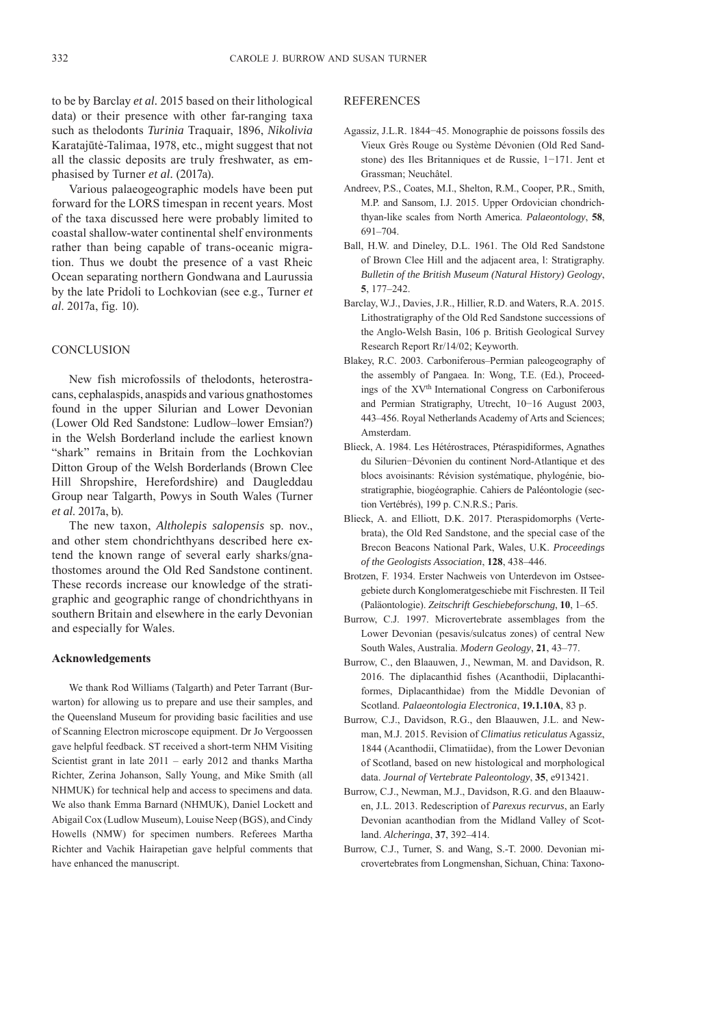to be by Barclay *et al.* 2015 based on their lithological data) or their presence with other far-ranging taxa such as thelodonts *Turinia* Traquair, 1896, *Nikolivia*  Karatajūtė-Talimaa, 1978, etc., might suggest that not all the classic deposits are truly freshwater, as emphasised by Turner *et al.* (2017a).

Various palaeogeographic models have been put forward for the LORS timespan in recent years. Most of the taxa discussed here were probably limited to coastal shallow-water continental shelf environments rather than being capable of trans-oceanic migration. Thus we doubt the presence of a vast Rheic Ocean separating northern Gondwana and Laurussia by the late Pridoli to Lochkovian (see e.g., Turner *et al*. 2017a, fig. 10).

### **CONCLUSION**

New fish microfossils of thelodonts, heterostracans, cephalaspids, anaspids and various gnathostomes found in the upper Silurian and Lower Devonian (Lower Old Red Sandstone: Ludlow–lower Emsian?) in the Welsh Borderland include the earliest known "shark" remains in Britain from the Lochkovian Ditton Group of the Welsh Borderlands (Brown Clee Hill Shropshire, Herefordshire) and Daugleddau Group near Talgarth, Powys in South Wales (Turner *et al*. 2017a, b).

The new taxon, *Altholepis salopensis* sp. nov., and other stem chondrichthyans described here extend the known range of several early sharks/gnathostomes around the Old Red Sandstone continent. These records increase our knowledge of the stratigraphic and geographic range of chondrichthyans in southern Britain and elsewhere in the early Devonian and especially for Wales.

#### **Acknowledgements**

We thank Rod Williams (Talgarth) and Peter Tarrant (Burwarton) for allowing us to prepare and use their samples, and the Queensland Museum for providing basic facilities and use of Scanning Electron microscope equipment. Dr Jo Vergoossen gave helpful feedback. ST received a short-term NHM Visiting Scientist grant in late 2011 – early 2012 and thanks Martha Richter, Zerina Johanson, Sally Young, and Mike Smith (all NHMUK) for technical help and access to specimens and data. We also thank Emma Barnard (NHMUK), Daniel Lockett and Abigail Cox (Ludlow Museum), Louise Neep (BGS), and Cindy Howells (NMW) for specimen numbers. Referees Martha Richter and Vachik Hairapetian gave helpful comments that have enhanced the manuscript.

# **REFERENCES**

- Agassiz, J.L.R. 1844−45. Monographie de poissons fossils des Vieux Grès Rouge ou Système Dévonien (Old Red Sandstone) des Iles Britanniques et de Russie, 1−171. Jent et Grassman; Neuchâtel.
- Andreev, P.S., Coates, M.I., Shelton, R.M., Cooper, P.R., Smith, M.P. and Sansom, I.J. 2015. Upper Ordovician chondrichthyan-like scales from North America. *Palaeontology*, **58**, 691–704.
- Ball, H.W. and Dineley, D.L. 1961. The Old Red Sandstone of Brown Clee Hill and the adjacent area, l: Stratigraphy. *Bulletin of the British Museum (Natural History) Geology*, **5**, 177–242.
- Barclay, W.J., Davies, J.R., Hillier, R.D. and Waters, R.A. 2015. Lithostratigraphy of the Old Red Sandstone successions of the Anglo-Welsh Basin, 106 p. British Geological Survey Research Report Rr/14/02; Keyworth.
- Blakey, R.C. 2003. Carboniferous–Permian paleogeography of the assembly of Pangaea. In: Wong, T.E. (Ed.), Proceedings of the XV<sup>th</sup> International Congress on Carboniferous and Permian Stratigraphy, Utrecht, 10−16 August 2003, 443–456. Royal Netherlands Academy of Arts and Sciences; Amsterdam.
- Blieck, A. 1984. Les Hétérostraces, Ptéraspidiformes, Agnathes du Silurien−Dévonien du continent Nord-Atlantique et des blocs avoisinants: Révision systématique, phylogénie, biostratigraphie, biogéographie. Cahiers de Paléontologie (section Vertébrés), 199 p. C.N.R.S.; Paris.
- Blieck, A. and Elliott, D.K. 2017. Pteraspidomorphs (Vertebrata), the Old Red Sandstone, and the special case of the Brecon Beacons National Park, Wales, U.K. *Proceedings of the Geologists Association*, **128**, 438–446.
- Brotzen, F. 1934. Erster Nachweis von Unterdevon im Ostseegebiete durch Konglomeratgeschiebe mit Fischresten. II Teil (Paläontologie). *Zeitschrift Geschiebeforschung*, **10**, 1–65.
- Burrow, C.J. 1997. Microvertebrate assemblages from the Lower Devonian (pesavis/sulcatus zones) of central New South Wales, Australia. *Modern Geology*, **21**, 43–77.
- Burrow, C., den Blaauwen, J., Newman, M. and Davidson, R. 2016. The diplacanthid fishes (Acanthodii, Diplacanthiformes, Diplacanthidae) from the Middle Devonian of Scotland. *Palaeontologia Electronica*, **19.1.10A**, 83 p.
- Burrow, C.J., Davidson, R.G., den Blaauwen, J.L. and Newman, M.J. 2015. Revision of *Climatius reticulatus* Agassiz, 1844 (Acanthodii, Climatiidae), from the Lower Devonian of Scotland, based on new histological and morphological data. *Journal of Vertebrate Paleontology*, **35**, e913421.
- Burrow, C.J., Newman, M.J., Davidson, R.G. and den Blaauwen, J.L. 2013. Redescription of *Parexus recurvus*, an Early Devonian acanthodian from the Midland Valley of Scotland. *Alcheringa*, **37**, 392–414.
- Burrow, C.J., Turner, S. and Wang, S.-T. 2000. Devonian microvertebrates from Longmenshan, Sichuan, China: Taxono-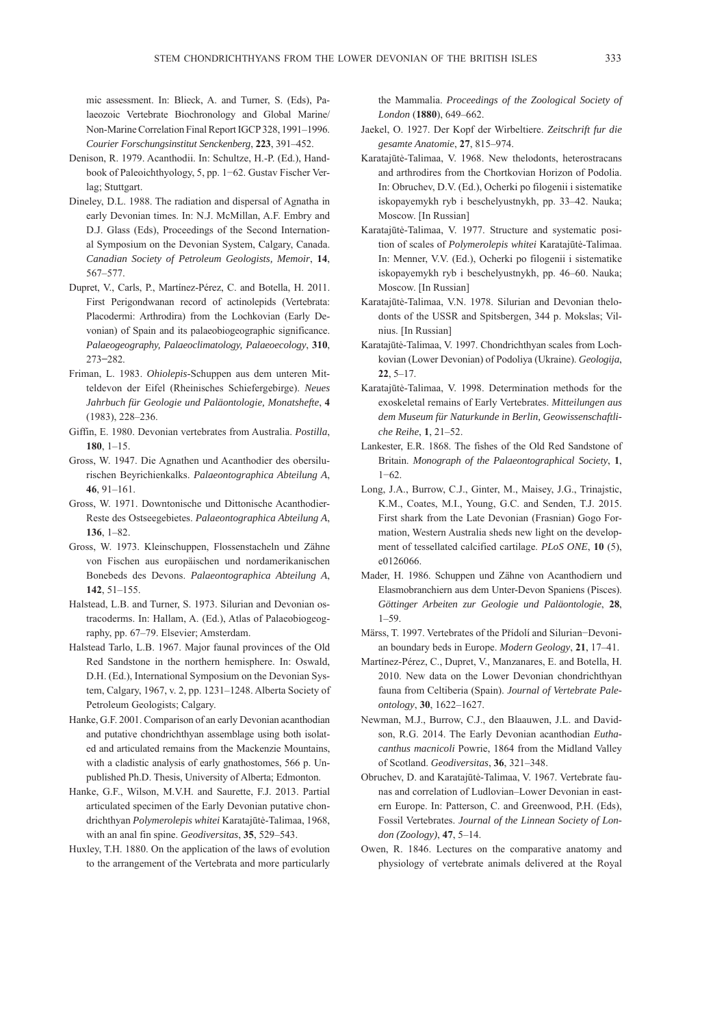mic assessment. In: Blieck, A. and Turner, S. (Eds), Palaeozoic Vertebrate Biochronology and Global Marine/ Non- Marine Correlation Final Report IGCP 328, 1991–1996. *Courier Forschungsinstitut Senckenberg*, **223**, 391–452.

- Denison, R. 1979. Acanthodii. In: Schultze, H.-P. (Ed.), Handbook of Paleoichthyology, 5, pp. 1−62. Gustav Fischer Verlag; Stuttgart.
- Dineley, D.L. 1988. The radiation and dispersal of Agnatha in early Devonian times. In: N.J. McMillan, A.F. Embry and D.J. Glass (Eds), Proceedings of the Second International Symposium on the Devonian System, Calgary, Canada. *Canadian Society of Petroleum Geologists, Memoir*, **14**, 567–577.
- Dupret, V., Carls, P., Martínez-Pérez, C. and Botella, H. 2011. First Perigondwanan record of actinolepids (Vertebrata: Placodermi: Arthrodira) from the Lochkovian (Early Devonian) of Spain and its palaeobiogeographic significance. *Palaeogeography, Palaeoclimatology, Palaeoecology*, **310**, 273**−**282.
- Friman, L. 1983. *Ohiolepis*-Schuppen aus dem unteren Mitteldevon der Eifel (Rheinisches Schiefergebirge). *Neues Jahrbuch für Geologie und Paläontologie, Monatshefte*, **4**  (1983), 228–236.
- Giffin, E. 1980. Devonian vertebrates from Australia. *Postilla*, **180**, 1–15.
- Gross, W. 1947. Die Agnathen und Acanthodier des obersilurischen Beyrichienkalks. *Palaeontographica Abteilung A*, **46**, 91–161.
- Gross, W. 1971. Downtonische und Dittonische Acanthodier-Reste des Ostseegebietes. *Palaeontographica Abteilung A*, **136**, 1–82.
- Gross, W. 1973. Kleinschuppen, Flossenstacheln und Zähne von Fischen aus europäischen und nordamerikanischen Bonebeds des Devons. *Palaeontographica Abteilung A*, **142**, 51–155.
- Halstead, L.B. and Turner, S. 1973. Silurian and Devonian ostracoderms. In: Hallam, A. (Ed.), Atlas of Palaeobiogeography, pp. 67–79. Elsevier; Amsterdam.
- Halstead Tarlo, L.B. 1967. Major faunal provinces of the Old Red Sandstone in the northern hemisphere. In: Oswald, D.H. (Ed.), International Symposium on the Devonian System, Calgary, 1967, v. 2, pp. 1231–1248. Alberta Society of Petroleum Geologists; Calgary.
- Hanke, G.F. 2001. Comparison of an early Devonian acanthodian and putative chondrichthyan assemblage using both isolated and articulated remains from the Mackenzie Mountains, with a cladistic analysis of early gnathostomes, 566 p. Unpublished Ph.D. Thesis, University of Alberta; Edmonton.
- Hanke, G.F., Wilson, M.V.H. and Saurette, F.J. 2013. Partial articulated specimen of the Early Devonian putative chondrichthyan *Polymerolepis whitei* Karatajūtė-Talimaa, 1968, with an anal fin spine. *Geodiversitas*, **35**, 529–543.
- Huxley, T.H. 1880. On the application of the laws of evolution to the arrangement of the Vertebrata and more particularly

the Mammalia. *Proceedings of the Zoological Society of London* (**1880**), 649–662.

- Jaekel, O. 1927. Der Kopf der Wirbeltiere. *Zeitschrift fur die gesamte Anatomie*, **27**, 815–974.
- Karatajūtė-Talimaa, V. 1968. New thelodonts, heterostracans and arthrodires from the Chortkovian Horizon of Podolia. In: Obruchev, D.V. (Ed.), Ocherki po filogenii i sistematike iskopayemykh ryb i beschelyustnykh, pp. 33–42. Nauka; Moscow. [In Russian]
- Karatajūtė-Talimaa, V. 1977. Structure and systematic position of scales of *Polymerolepis whitei* Karatajūtė-Talimaa. In: Menner, V.V. (Ed.), Ocherki po filogenii i sistematike iskopayemykh ryb i beschelyustnykh, pp. 46–60. Nauka; Moscow. [In Russian]
- Karatajūtė-Talimaa, V.N. 1978. Silurian and Devonian thelodonts of the USSR and Spitsbergen, 344 p. Mokslas; Vilnius. [In Russian]
- Karatajūtė-Talimaa, V. 1997. Chondrichthyan scales from Lochkovian (Lower Devonian) of Podoliya (Ukraine). *Geologija*, **22**, 5–17.
- Karatajūtė-Talimaa, V. 1998. Determination methods for the exoskeletal remains of Early Vertebrates. *Mitteilungen aus dem Museum für Naturkunde in Berlin, Geowissenschaftliche Reihe*, **1**, 21–52.
- Lankester, E.R. 1868. The fishes of the Old Red Sandstone of Britain. *Monograph of the Palaeontographical Society*, **1**, 1−62.
- Long, J.A., Burrow, C.J., Ginter, M., Maisey, J.G., Trinajstic, K.M., Coates, M.I., Young, G.C. and Senden, T.J. 2015. First shark from the Late Devonian (Frasnian) Gogo Formation, Western Australia sheds new light on the development of tessellated calcified cartilage. *PLoS ONE*, **10** (5), e0126066.
- Mader, H. 1986. Schuppen und Zähne von Acanthodiern und Elasmobranchiern aus dem Unter-Devon Spaniens (Pisces). *Göttinger Arbeiten zur Geologie und Paläontologie*, **28**, 1–59.
- Märss, T. 1997. Vertebrates of the Přídolí and Silurian−Devonian boundary beds in Europe. *Modern Geology*, **21**, 17–41.
- Martínez-Pérez, C., Dupret, V., Manzanares, E. and Botella, H. 2010. New data on the Lower Devonian chondrichthyan fauna from Celtiberia (Spain). *Journal of Vertebrate Paleontology*, **30**, 1622–1627.
- Newman, M.J., Burrow, C.J., den Blaauwen, J.L. and Davidson, R.G. 2014. The Early Devonian acanthodian *Euthacanthus macnicoli* Powrie, 1864 from the Midland Valley of Scotland. *Geodiversitas*, **36**, 321–348.
- Obruchev, D. and Karatajūtė-Talimaa, V. 1967. Vertebrate faunas and correlation of Ludlovian–Lower Devonian in eastern Europe. In: Patterson, C. and Greenwood, P.H. (Eds), Fossil Vertebrates. *Journal of the Linnean Society of London (Zoology)*, **47**, 5–14.
- Owen, R. 1846. Lectures on the comparative anatomy and physiology of vertebrate animals delivered at the Royal